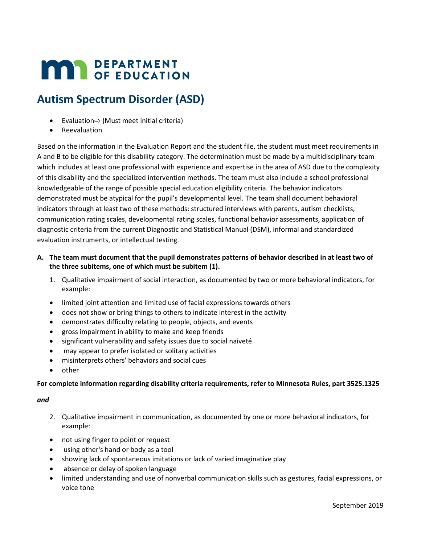# **MAR** DEPARTMENT

# **Autism Spectrum Disorder (ASD)**

- Evaluation⇨ (Must meet initial criteria)
- **Reevaluation**

Based on the information in the Evaluation Report and the student file, the student must meet requirements in A and B to be eligible for this disability category. The determination must be made by a multidisciplinary team which includes at least one professional with experience and expertise in the area of ASD due to the complexity of this disability and the specialized intervention methods. The team must also include a school professional knowledgeable of the range of possible special education eligibility criteria. The behavior indicators demonstrated must be atypical for the pupil's developmental level. The team shall document behavioral indicators through at least two of these methods: structured interviews with parents, autism checklists, communication rating scales, developmental rating scales, functional behavior assessments, application of diagnostic criteria from the current Diagnostic and Statistical Manual (DSM), informal and standardized evaluation instruments, or intellectual testing.

- **A. The team must document that the pupil demonstrates patterns of behavior described in at least two of the three subitems, one of which must be subitem (1).**
	- 1. Qualitative impairment of social interaction, as documented by two or more behavioral indicators, for example:
	- limited joint attention and limited use of facial expressions towards others
	- does not show or bring things to others to indicate interest in the activity
	- demonstrates difficulty relating to people, objects, and events
	- gross impairment in ability to make and keep friends
	- significant vulnerability and safety issues due to social naiveté
	- may appear to prefer isolated or solitary activities
	- misinterprets others' behaviors and social cues
	- other

#### **For complete information regarding disability criteria requirements, refer to Minnesota Rules, part 3525.1325**

#### *and*

- 2. Qualitative impairment in communication, as documented by one or more behavioral indicators, for example:
- not using finger to point or request
- using other's hand or body as a tool
- showing lack of spontaneous imitations or lack of varied imaginative play
- absence or delay of spoken language
- limited understanding and use of nonverbal communication skills such as gestures, facial expressions, or voice tone